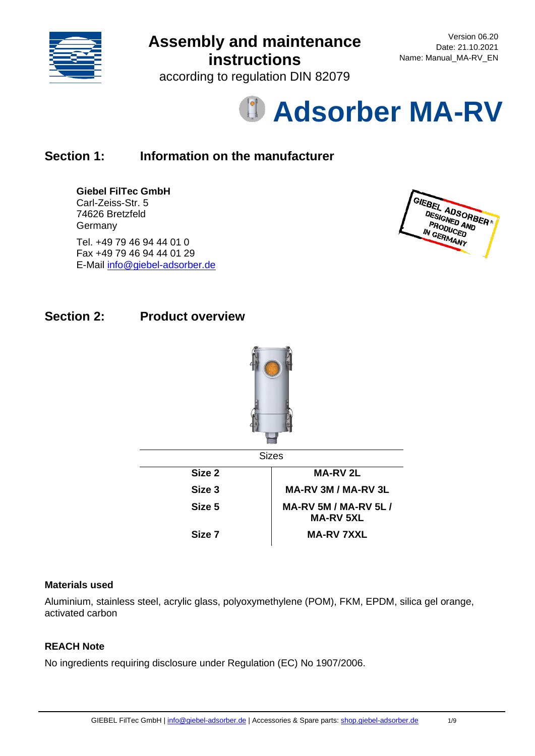

according to regulation DIN 82079

# **Adsorber MA-RV**

# **Section 1: Information on the manufacturer**

### **Giebel FilTec GmbH**

Carl-Zeiss-Str. 5 74626 Bretzfeld **Germany** 

Tel. +49 79 46 94 44 01 0 Fax +49 79 46 94 44 01 29 E-Mail [info@giebel-adsorber.de](mailto:info@giebel-adsorber.de)



### **Section 2: Product overview**



### **Materials used**

Aluminium, stainless steel, acrylic glass, polyoxymethylene (POM), FKM, EPDM, silica gel orange, activated carbon

### **REACH Note**

No ingredients requiring disclosure under Regulation (EC) No 1907/2006.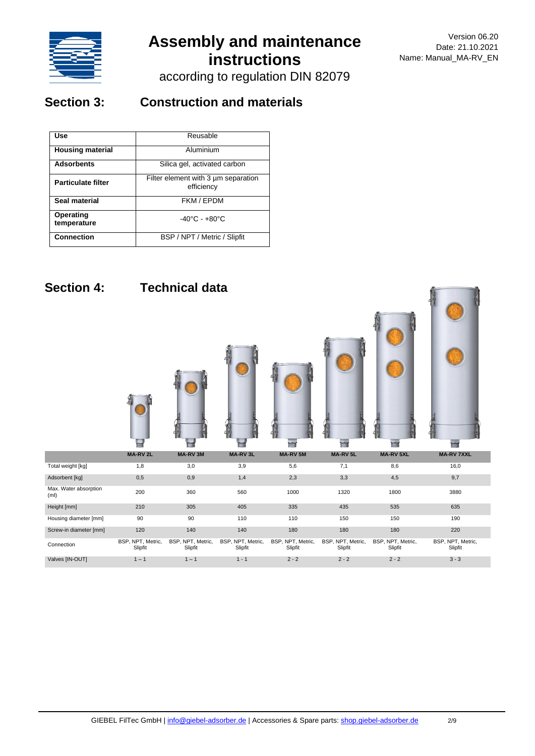

according to regulation DIN 82079

## **Section 3: Construction and materials**

| Use                       | Reusable                                          |  |  |
|---------------------------|---------------------------------------------------|--|--|
| <b>Housing material</b>   | Aluminium                                         |  |  |
| <b>Adsorbents</b>         | Silica gel, activated carbon                      |  |  |
| <b>Particulate filter</b> | Filter element with 3 um separation<br>efficiency |  |  |
| Seal material             | FKM / EPDM                                        |  |  |
| Operating<br>temperature  | $-40^{\circ}$ C - $+80^{\circ}$ C                 |  |  |
| <b>Connection</b>         | BSP / NPT / Metric / Slipfit                      |  |  |

## **Section 4: Technical data**

E ۳ ٢ H  $\overline{\phantom{a}}$ Ħ **MA-RV 2L MA-RV 3M MA-RV 3L MA-RV 5M MA-RV 5L MA-RV 5XL MA-RV 7XXL** Total weight [kg] 1,8 3,0 3,9 5,6 7,1 8,6 16,0 Adsorbent [kg] 0,5 0,9 1,4 2,3 3,3 4,5 9,7 Max. Water absorption<br>(ml) ութ... ռուշ շատ 200 - 360 - 560 - 1000 - 1320 - 1800 - 3880<br>(ml) Height [mm] 210 305 405 335 435 535 635 Housing diameter [mm] 90 90 90 110 110 150 150 150 190 Screw-in diameter [mm] 120 140 140 180 180 180 180 220 Connection BSP, NPT, Metric, BSP, NPT, Metric, BSP, NPT, Metric, BSP, NPT, Metric, BSP, NPT, Metric, Slipfit BSP, NPT, Metric, Slipfit BSP, NPT, Metric, Slipfit Slipfit Slipfit **Slinfit** Slipfit Valves [IN-OUT] 1 − 1 1 − 1 1 − 1 2 − 2 2 − 2 3 − 3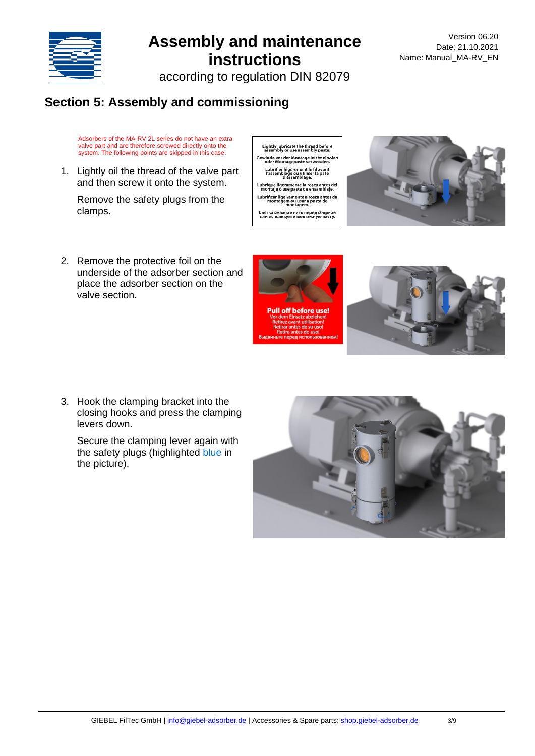

according to regulation DIN 82079

## **Section 5: Assembly and commissioning**

Adsorbers of the MA-RV 2L series do not have an extra valve part and are therefore screwed directly onto the system. The following points are skipped in this case.

1. Lightly oil the thread of the valve part and then screw it onto the system.

Remove the safety plugs from the clamps.

2. Remove the protective foil on the underside of the adsorber section and place the adsorber section on the valve section.

3. Hook the clamping bracket into the closing hooks and press the clamping levers down.

Secure the clamping lever again with the safety plugs (highlighted blue in the picture).





Lightly lubricate the thread before<br>assembly or use assembly paste. Gewinde vor der Montage leicht einölen<br>oder Montagepaste verwenden. Lubrifier légèrement le fil avant<br>l'assemblage ou utiliser la pâte<br>d'assemblage. Lubrique ligeramente la rosca antes del<br>montaje o use pasta de ensamblaje. Слегка смажьте нить перед сборкой<br>или используйте монтажную пасту.

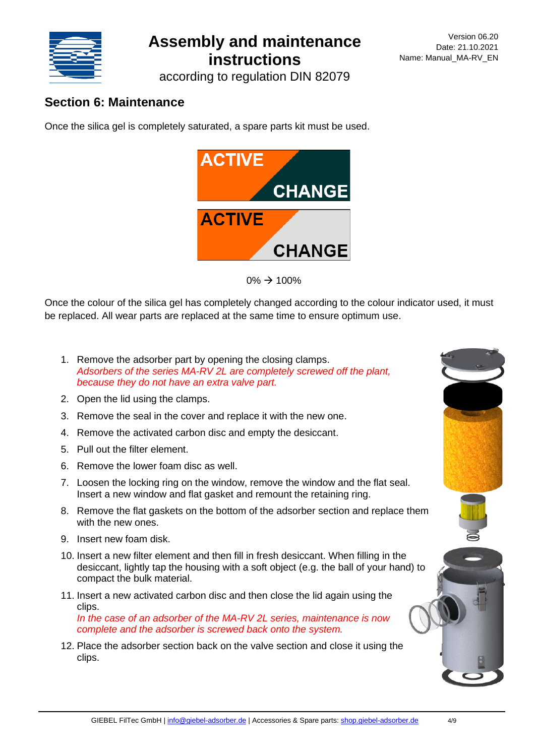

according to regulation DIN 82079

### **Section 6: Maintenance**

Once the silica gel is completely saturated, a spare parts kit must be used.





Once the colour of the silica gel has completely changed according to the colour indicator used, it must be replaced. All wear parts are replaced at the same time to ensure optimum use.

- 1. Remove the adsorber part by opening the closing clamps. *Adsorbers of the series MA-RV 2L are completely screwed off the plant, because they do not have an extra valve part.*
- 2. Open the lid using the clamps.
- 3. Remove the seal in the cover and replace it with the new one.
- 4. Remove the activated carbon disc and empty the desiccant.
- 5. Pull out the filter element.
- 6. Remove the lower foam disc as well.
- 7. Loosen the locking ring on the window, remove the window and the flat seal. Insert a new window and flat gasket and remount the retaining ring.
- 8. Remove the flat gaskets on the bottom of the adsorber section and replace them with the new ones.
- 9. Insert new foam disk.
- 10. Insert a new filter element and then fill in fresh desiccant. When filling in the desiccant, lightly tap the housing with a soft object (e.g. the ball of your hand) to compact the bulk material.
- 11. Insert a new activated carbon disc and then close the lid again using the clips. *In the case of an adsorber of the MA-RV 2L series, maintenance is now*

*complete and the adsorber is screwed back onto the system.*

12. Place the adsorber section back on the valve section and close it using the clips.

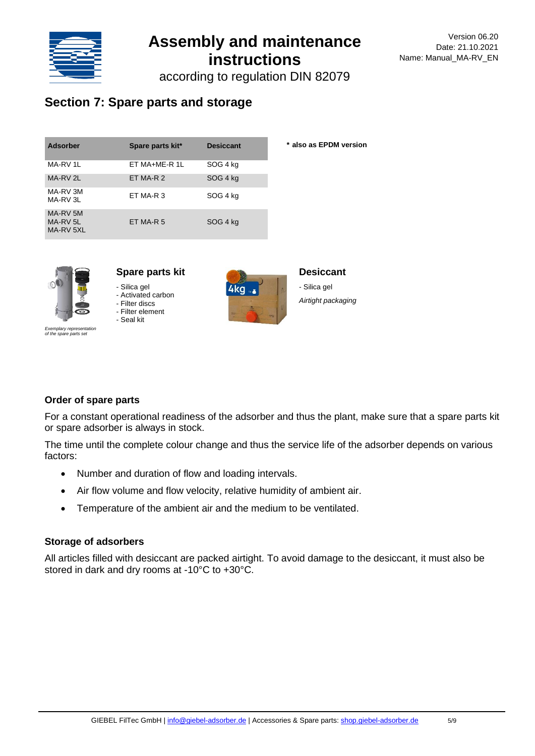

according to regulation DIN 82079

### **Section 7: Spare parts and storage**

| <b>Adsorber</b>                              | Spare parts kit* | <b>Desiccant</b> | * also as EPDM version |
|----------------------------------------------|------------------|------------------|------------------------|
| MA-RV 1L                                     | ET MA+ME-R 1L    | SOG 4 kg         |                        |
| MA-RV 2L                                     | ET MA-R 2        | SOG 4 kg         |                        |
| MA-RV 3M<br>MA-RV 3L                         | ET MA-R 3        | SOG 4 kg         |                        |
| MA-RV 5M<br>MA-RV <sub>5L</sub><br>MA-RV 5XL | ET MA-R 5        | SOG 4 kg         |                        |



### **Spare parts kit**

- Silica gel

- Activated carbon - Filter discs

- Filter element

- Seal kit *Exemplary representation of the spare parts set*



### **Desiccant**

- Silica gel *Airtight packaging*

### **Order of spare parts**

For a constant operational readiness of the adsorber and thus the plant, make sure that a spare parts kit or spare adsorber is always in stock.

The time until the complete colour change and thus the service life of the adsorber depends on various factors:

- Number and duration of flow and loading intervals.
- Air flow volume and flow velocity, relative humidity of ambient air.
- Temperature of the ambient air and the medium to be ventilated.

### **Storage of adsorbers**

All articles filled with desiccant are packed airtight. To avoid damage to the desiccant, it must also be stored in dark and dry rooms at -10°C to +30°C.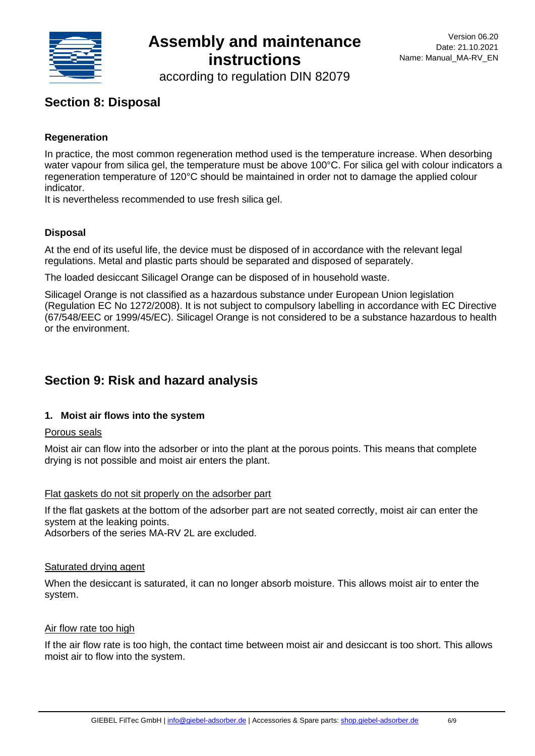

according to regulation DIN 82079

### **Section 8: Disposal**

### **Regeneration**

In practice, the most common regeneration method used is the temperature increase. When desorbing water vapour from silica gel, the temperature must be above 100°C. For silica gel with colour indicators a regeneration temperature of 120°C should be maintained in order not to damage the applied colour indicator.

It is nevertheless recommended to use fresh silica gel.

### **Disposal**

At the end of its useful life, the device must be disposed of in accordance with the relevant legal regulations. Metal and plastic parts should be separated and disposed of separately.

The loaded desiccant Silicagel Orange can be disposed of in household waste.

Silicagel Orange is not classified as a hazardous substance under European Union legislation (Regulation EC No 1272/2008). It is not subject to compulsory labelling in accordance with EC Directive (67/548/EEC or 1999/45/EC). Silicagel Orange is not considered to be a substance hazardous to health or the environment.

### **Section 9: Risk and hazard analysis**

### **1. Moist air flows into the system**

### Porous seals

Moist air can flow into the adsorber or into the plant at the porous points. This means that complete drying is not possible and moist air enters the plant.

### Flat gaskets do not sit properly on the adsorber part

If the flat gaskets at the bottom of the adsorber part are not seated correctly, moist air can enter the system at the leaking points.

Adsorbers of the series MA-RV 2L are excluded.

#### Saturated drying agent

When the desiccant is saturated, it can no longer absorb moisture. This allows moist air to enter the system.

#### Air flow rate too high

If the air flow rate is too high, the contact time between moist air and desiccant is too short. This allows moist air to flow into the system.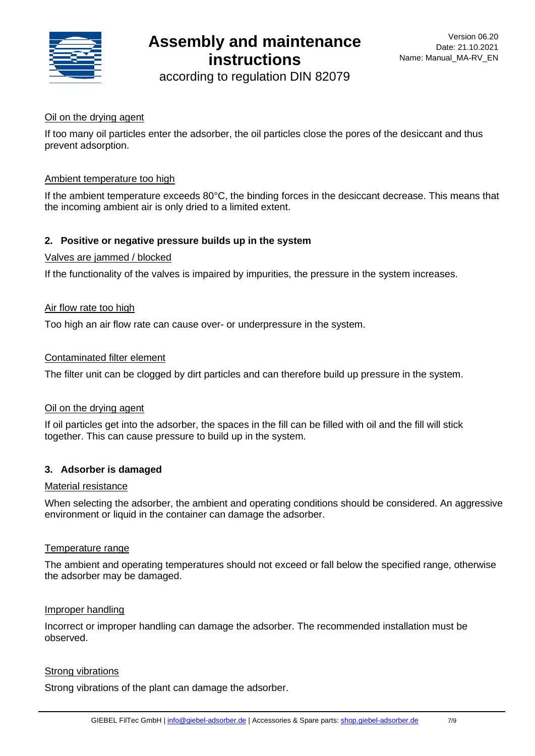

according to regulation DIN 82079

### Oil on the drying agent

If too many oil particles enter the adsorber, the oil particles close the pores of the desiccant and thus prevent adsorption.

#### Ambient temperature too high

If the ambient temperature exceeds 80°C, the binding forces in the desiccant decrease. This means that the incoming ambient air is only dried to a limited extent.

### **2. Positive or negative pressure builds up in the system**

#### Valves are jammed / blocked

If the functionality of the valves is impaired by impurities, the pressure in the system increases.

#### Air flow rate too high

Too high an air flow rate can cause over- or underpressure in the system.

#### Contaminated filter element

The filter unit can be clogged by dirt particles and can therefore build up pressure in the system.

### Oil on the drying agent

If oil particles get into the adsorber, the spaces in the fill can be filled with oil and the fill will stick together. This can cause pressure to build up in the system.

### **3. Adsorber is damaged**

#### Material resistance

When selecting the adsorber, the ambient and operating conditions should be considered. An aggressive environment or liquid in the container can damage the adsorber.

#### Temperature range

The ambient and operating temperatures should not exceed or fall below the specified range, otherwise the adsorber may be damaged.

#### Improper handling

Incorrect or improper handling can damage the adsorber. The recommended installation must be observed.

### Strong vibrations

Strong vibrations of the plant can damage the adsorber.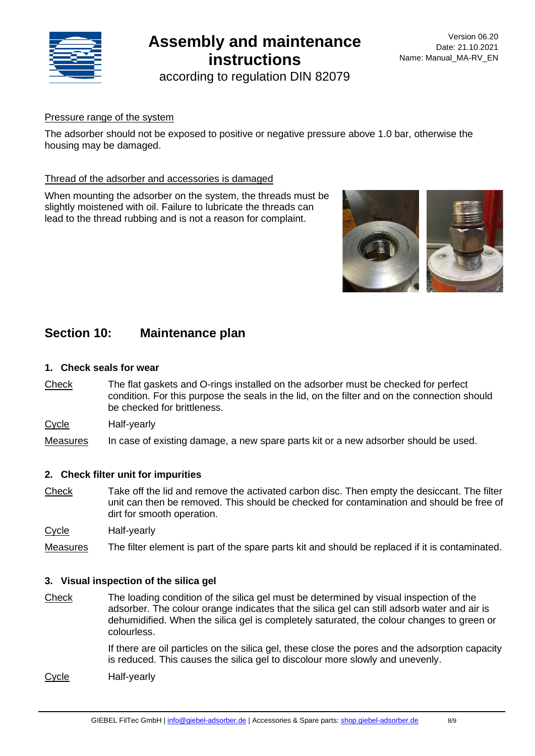

according to regulation DIN 82079

### Pressure range of the system

The adsorber should not be exposed to positive or negative pressure above 1.0 bar, otherwise the housing may be damaged.

### Thread of the adsorber and accessories is damaged

When mounting the adsorber on the system, the threads must be slightly moistened with oil. Failure to lubricate the threads can lead to the thread rubbing and is not a reason for complaint.



### **Section 10: Maintenance plan**

### **1. Check seals for wear**

- Check The flat gaskets and O-rings installed on the adsorber must be checked for perfect condition. For this purpose the seals in the lid, on the filter and on the connection should be checked for brittleness.
- Cycle Half-yearly

Measures In case of existing damage, a new spare parts kit or a new adsorber should be used.

### **2. Check filter unit for impurities**

Check Take off the lid and remove the activated carbon disc. Then empty the desiccant. The filter unit can then be removed. This should be checked for contamination and should be free of dirt for smooth operation.

Cycle Half-yearly

Measures The filter element is part of the spare parts kit and should be replaced if it is contaminated.

### **3. Visual inspection of the silica gel**

Check The loading condition of the silica gel must be determined by visual inspection of the adsorber. The colour orange indicates that the silica gel can still adsorb water and air is dehumidified. When the silica gel is completely saturated, the colour changes to green or colourless.

> If there are oil particles on the silica gel, these close the pores and the adsorption capacity is reduced. This causes the silica gel to discolour more slowly and unevenly.

Cycle Half-yearly